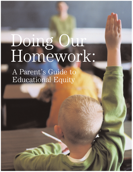# Doing Our Homework:

A Parent's Guide to Educational Equity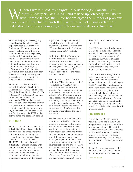hen I wrote *Know Your Rights: A Handbook for Patients with Inflammatory Bowel Disease*, and started up Advocacy for Patients with Chronic Illness, Inc., I did not anticipate the number of problems Muslim I wrote Know Your Rights: A Handbook for Patients with Inflammatory Bowel Disease, and started up Advocacy for Patients with Chronic Illness, Inc., I did not anticipate the number of problements and their children w educational equity are complex, and relevant materials are voluminous.

This summary is, of necessity, very generalized and eliminates many important details. To learn more, families should contact the state agency (unfortunately, there is no common name for these agencies) that is funded, at least in part, by the federal government to assist in ensuring that the requirements of federal law are met. The new edition of *Know Your Rights: A Handbook for Patients with Chronic Illness*, available from both www.advocacyforpatients.org and www.ccfa.org/store, contains a longer version of this article.

There are two related statutes, the Individuals with Disabilities Education Act ("IDEA"), and Section 504 of the Rehabilitation Act of 1973 ("Section 504"). Section 504 applies to recipients of federal funds, whereas the IDEA applies to state and local education agencies. Section 504 pertains to all levels of education — grade school to college and even to graduate schools that accept federal funding — but the IDEA applies only to grade and secondary schools.

### **THE IDEA**

The IDEA provides that a child with a disability who needs special education is entitled to a free appropriate public education, including the preparation of an "individualized education program," or "IEP." The IDEA defines a child with a disability to include children with mental retardation, hearing, speech, visual or language impairments, serious emotional disturbance, orthopedic impairments, autism, traumatic brain injury, other health

impairments, or specific learning disabilities who require special education as a result. Children with IBD would come within the "other health impairments" catch-all.

Under the IDEA, the first requirement imposed on the states is to "identify, locate and evaluate" children in need of special education services (called "child find"). Once children are located, the IDEA requires states to meet the needs of those children.

The core of the IDEA is the IEP. Under the IDEA, states are required to conduct an evaluation before special education benefits are granted. The evaluation determines whether the child is a "child with a disability" and has special educational needs. The process should be initiated by the school, which should provide notice to the parents. The child must be tested and evaluated using a variety of tools. After this evaluation is completed, the IEP is formulated.

The IEP should be a written statement for each disabled child that includes a statement of the child's level of educational performance; a statement of goals; a statement of the special education and related services to be provided; an explanation of the extent, if any, of the child's participation in mainstream programs; a statement of any individual modifications; the projected date for commencement of these services, and the duration of the services. In fashioning the IEP, the strengths of the child, the parents' concerns, and the results of the most recent

evaluation of the child must be considered.

The IEP "team" includes the parents, at least one non-special education teacher, at least one special education teacher, a representative of the local agency who is qualified to assist in formulating IEPs, other experts brought in at the request of the parents or the state, and, if appropriate, the child.

The IDEA provides safeguards to ensure parental involvement at all stages of the child's education: notice to the parent of any change in the IEP, the ability to participate in discussions about their child's evaluation and education, the right to review the child's school records, and the ability to file complaints and have an impartial hearing. Parents may challenge any aspect of an IEP by requesting a hearing, and if they remain dissatisfied, they may file suit in federal court.

### **SECTION 504**

The goal of the Rehabilitation Act was to promote the inclusion and integration of people with disabilities into the mainstream. This statute reaches beyond education to any federally funded program, providing protection against discrimination based on disability. Here, we focus only on Section 504 as it pertains to education.

Section 504 provides that disabled children cannot be denied the benefits of any program that receives

Continued on **p29**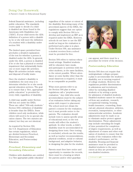# Doing Our Homework:

A Parent's Guide to Educational Equity

federal financial assistance, including public education. The standards courts apply to decide if a child is disabled are those found in the Americans with Disabilities Act ("ADA"). If your child meets the ADA definition of a person with a disability, he or she will meet the definition of a student with a disability under section 504.

The limited space permitted here precludes a detailed explanation of the test for whether a person is disabled under the ADA. In general, under the ADA, a person is disabled if he or she has a physical or mental impairment that substantially limits one or more major life activities. Major life activities include eating and disposal of bodily waste.

Once the student's disability is established, the next step is to determine whether he or she needs special education services. The goal is to ensure that a "free, appropriate public education" is provided for every child, regardless of disability.

A child may qualify under Section 504 but not under the IDEA. These are called "504-only students." Section 504's definition of disability is broader than the IDEA's. Some children need only medication, while others will need to be in special education classes. The two statutes are related, but they are not identical.

As required by Section 504, the U.S. Department of Education has certain regulations, which are divided between Preschool, Elementary and Secondary Education, and Postsecondary Education.

## *Preschool, Elementary and Secondary Education*

Children with disabilities are entitled to a "free appropriate public education" regardless of the nature or extent of the disability. Borrowing many of the procedural aspects of the IDEA, the regulations suggest that one option to comply with Section 504 is to develop and implement an IEP, as is required under the IDEA. However, schools do not have to use the IEP model as long as the evaluation is performed and a plan is in place. Under Section 504, any assistance a student receives from a school must be provided for free.

Section 504 refers to various educational settings. Disabled students will be educated, have meals, and participate in activities with the other students, in the same facilities, to the extent possible. Where attendance at some facility other than the usual classroom is required, it must be as comparable as possible.

What most parents refer to as the Section 504 plan is what regulations call a "preplacement evaluation." Any child who needs accommodation must be the subject of an evaluation before taking any action with respect to placement. The school need not obtain the parent's consent for the evaluation, but it must provide notice to the parents. The evaluation should include tests to assess specific areas of educational need, so the test results will reflect the student's aptitude. In other words, a child's disability must be accommodated in designing these tests. Once testing is concluded, schools use the results, as well as teacher recommendations, physical condition, social or cultural background, and adaptive behavior, in designing the plan for the student.

Parents must then have notice and opportunity to examine the records, there must be a hearing at which the parents and/or other guardian



can appear, and there must be a procedure for review of the decision.

## *Postsecondary Education*

Section 504 does not require that undergraduate colleges prepare a plan to accommodate the student's disability, nor is tutoring required of college students. However, the regulations prohibit discrimination in admissions and recruitment, either by excluding disabled students or by setting a quota for admission of disabled students. Disabled students cannot be excluded from any academic, research, occupational training, housing, health insurance, counseling, financial aid, physical education, athletics, recreation, transportation, or other extracurricular activities. Academic adjustments must be made so as to eliminate and/or protect against discrimination. These adjustments may include extending the length of time permitted for completion of degree requirements, as well as adjustment of exams and other evaluation of students to ensure that the results of the evaluation reflect the student's performance, not his disability. Housing and financial assistance must be provided to disabled students to the same extent as they are provided to non-disabled students.

Continued on **p31**